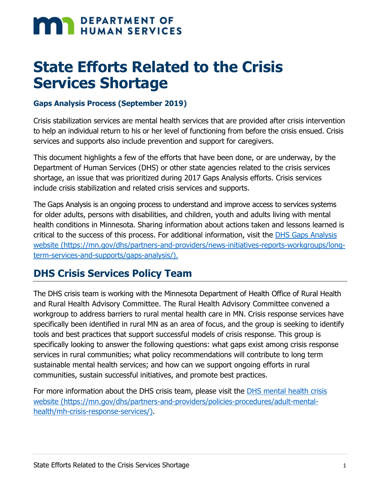# **MAN DEPARTMENT OF HUMAN SERVICES**

## **State Efforts Related to the Crisis Services Shortage**

#### **Gaps Analysis Process (September 2019)**

Crisis stabilization services are mental health services that are provided after crisis intervention to help an individual return to his or her level of functioning from before the crisis ensued. Crisis services and supports also include prevention and support for caregivers.

This document highlights a few of the efforts that have been done, or are underway, by the Department of Human Services (DHS) or other state agencies related to the crisis services shortage, an issue that was prioritized during 2017 Gaps Analysis efforts. Crisis services include crisis stabilization and related crisis services and supports.

The Gaps Analysis is an ongoing process to understand and improve access to services systems for older adults, persons with disabilities, and children, youth and adults living with mental health conditions in Minnesota. Sharing information about actions taken and lessons learned is critical to the success of this process. For additional information, visit the [DHS Gaps Analysis](https://mn.gov/dhs/gaps-analysis/)  [website \(https://mn.gov/dhs/partners-and-providers/news-initiatives-reports-workgroups/long](https://mn.gov/dhs/gaps-analysis/)[term-services-and-supports/gaps-analysis/\).](https://mn.gov/dhs/gaps-analysis/)

#### **DHS Crisis Services Policy Team**

The DHS crisis team is working with the Minnesota Department of Health Office of Rural Health and Rural Health Advisory Committee. The Rural Health Advisory Committee convened a workgroup to address barriers to rural mental health care in MN. Crisis response services have specifically been identified in rural MN as an area of focus, and the group is seeking to identify tools and best practices that support successful models of crisis response. This group is specifically looking to answer the following questions: what gaps exist among crisis response services in rural communities; what policy recommendations will contribute to long term sustainable mental health services; and how can we support ongoing efforts in rural communities, sustain successful initiatives, and promote best practices.

For more information about the DHS crisis team, please visit the [DHS mental health crisis](https://mn.gov/dhs/partners-and-providers/policies-procedures/adult-mental-health/mh-crisis-response-services/)  [website \(https://mn.gov/dhs/partners-and-providers/policies-procedures/adult-mental](https://mn.gov/dhs/partners-and-providers/policies-procedures/adult-mental-health/mh-crisis-response-services/)[health/mh-crisis-response-services/\).](https://mn.gov/dhs/partners-and-providers/policies-procedures/adult-mental-health/mh-crisis-response-services/)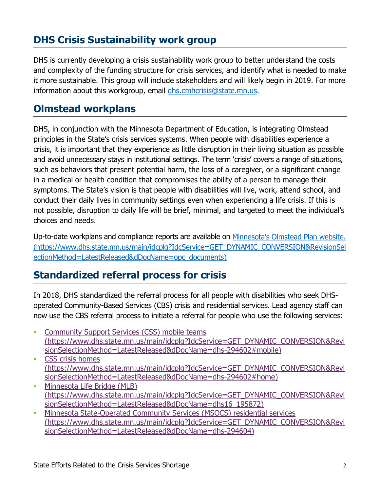### **DHS Crisis Sustainability work group**

DHS is currently developing a crisis sustainability work group to better understand the costs and complexity of the funding structure for crisis services, and identify what is needed to make it more sustainable. This group will include stakeholders and will likely begin in 2019. For more information about this workgroup, email [dhs.cmhcrisis@state.mn.us.](mailto:dhs.cmhcrisis@state.mn.us)

#### **Olmstead workplans**

DHS, in conjunction with the Minnesota Department of Education, is integrating Olmstead principles in the State's crisis services systems. When people with disabilities experience a crisis, it is important that they experience as little disruption in their living situation as possible and avoid unnecessary stays in institutional settings. The term 'crisis' covers a range of situations, such as behaviors that present potential harm, the loss of a caregiver, or a significant change in a medical or health condition that compromises the ability of a person to manage their symptoms. The State's vision is that people with disabilities will live, work, attend school, and conduct their daily lives in community settings even when experiencing a life crisis. If this is not possible, disruption to daily life will be brief, minimal, and targeted to meet the individual's choices and needs.

Up-to-date workplans and compliance reports are available on [Minnesota's Olmstead Plan website.](https://www.dhs.state.mn.us/main/idcplg?IdcService=GET_DYNAMIC_CONVERSION&RevisionSelectionMethod=LatestReleased&dDocName=opc_documents)  [\(https://www.dhs.state.mn.us/main/idcplg?IdcService=GET\\_DYNAMIC\\_CONVERSION&RevisionSel](https://www.dhs.state.mn.us/main/idcplg?IdcService=GET_DYNAMIC_CONVERSION&RevisionSelectionMethod=LatestReleased&dDocName=opc_documents) [ectionMethod=LatestReleased&dDocName=opc\\_documents\)](https://www.dhs.state.mn.us/main/idcplg?IdcService=GET_DYNAMIC_CONVERSION&RevisionSelectionMethod=LatestReleased&dDocName=opc_documents)

#### **Standardized referral process for crisis**

In 2018, DHS standardized the referral process for all people with disabilities who seek DHSoperated Community-Based Services (CBS) crisis and residential services. Lead agency staff can now use the CBS referral process to initiate a referral for people who use the following services:

- **Community Support Services (CSS) mobile teams** [\(https://www.dhs.state.mn.us/main/idcplg?IdcService=GET\\_DYNAMIC\\_CONVERSION&Revi](https://www.dhs.state.mn.us/main/idcplg?IdcService=GET_DYNAMIC_CONVERSION&RevisionSelectionMethod=LatestReleased&dDocName=dhs-294602#mobile) [sionSelectionMethod=LatestReleased&dDocName=dhs-294602#mobile\)](https://www.dhs.state.mn.us/main/idcplg?IdcService=GET_DYNAMIC_CONVERSION&RevisionSelectionMethod=LatestReleased&dDocName=dhs-294602#mobile)
- CSS crisis homes [\(https://www.dhs.state.mn.us/main/idcplg?IdcService=GET\\_DYNAMIC\\_CONVERSION&Revi](https://www.dhs.state.mn.us/main/idcplg?IdcService=GET_DYNAMIC_CONVERSION&RevisionSelectionMethod=LatestReleased&dDocName=dhs-294602#home) [sionSelectionMethod=LatestReleased&dDocName=dhs-294602#home\)](https://www.dhs.state.mn.us/main/idcplg?IdcService=GET_DYNAMIC_CONVERSION&RevisionSelectionMethod=LatestReleased&dDocName=dhs-294602#home)
- Minnesota Life Bridge (MLB) [\(https://www.dhs.state.mn.us/main/idcplg?IdcService=GET\\_DYNAMIC\\_CONVERSION&Revi](https://www.dhs.state.mn.us/main/idcplg?IdcService=GET_DYNAMIC_CONVERSION&RevisionSelectionMethod=LatestReleased&dDocName=dhs16_195872) [sionSelectionMethod=LatestReleased&dDocName=dhs16\\_195872\)](https://www.dhs.state.mn.us/main/idcplg?IdcService=GET_DYNAMIC_CONVERSION&RevisionSelectionMethod=LatestReleased&dDocName=dhs16_195872)
- Minnesota State-Operated Community Services (MSOCS) residential services [\(https://www.dhs.state.mn.us/main/idcplg?IdcService=GET\\_DYNAMIC\\_CONVERSION&Revi](https://www.dhs.state.mn.us/main/idcplg?IdcService=GET_DYNAMIC_CONVERSION&RevisionSelectionMethod=LatestReleased&dDocName=dhs-294604) [sionSelectionMethod=LatestReleased&dDocName=dhs-294604\)](https://www.dhs.state.mn.us/main/idcplg?IdcService=GET_DYNAMIC_CONVERSION&RevisionSelectionMethod=LatestReleased&dDocName=dhs-294604)